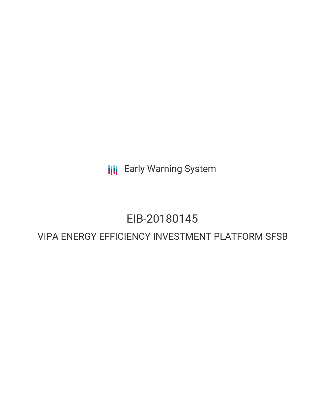**III** Early Warning System

# EIB-20180145

## VIPA ENERGY EFFICIENCY INVESTMENT PLATFORM SFSB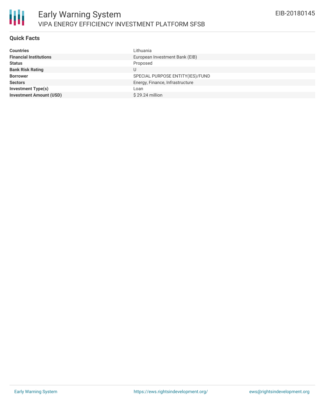

### **Quick Facts**

| Lithuania                        |
|----------------------------------|
| European Investment Bank (EIB)   |
| Proposed                         |
|                                  |
| SPECIAL PURPOSE ENTITY(IES)/FUND |
| Energy, Finance, Infrastructure  |
| Loan                             |
| $$29.24$ million                 |
|                                  |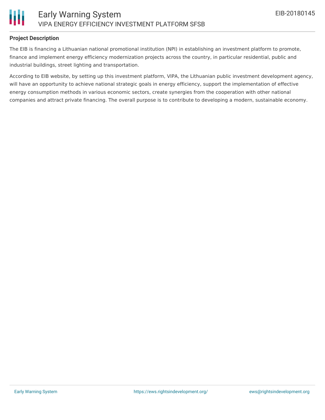

#### **Project Description**

The EIB is financing a Lithuanian national promotional institution (NPI) in establishing an investment platform to promote, finance and implement energy efficiency modernization projects across the country, in particular residential, public and industrial buildings, street lighting and transportation.

According to EIB website, by setting up this investment platform, VIPA, the Lithuanian public investment development agency, will have an opportunity to achieve national strategic goals in energy efficiency, support the implementation of effective energy consumption methods in various economic sectors, create synergies from the cooperation with other national companies and attract private financing. The overall purpose is to contribute to developing a modern, sustainable economy.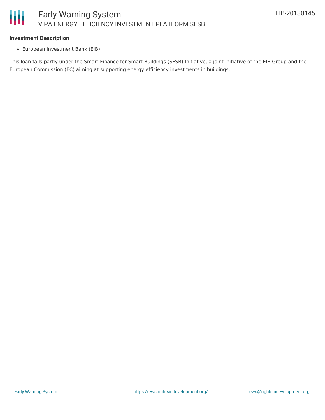

#### **Investment Description**

European Investment Bank (EIB)

This loan falls partly under the Smart Finance for Smart Buildings (SFSB) Initiative, a joint initiative of the EIB Group and the European Commission (EC) aiming at supporting energy efficiency investments in buildings.